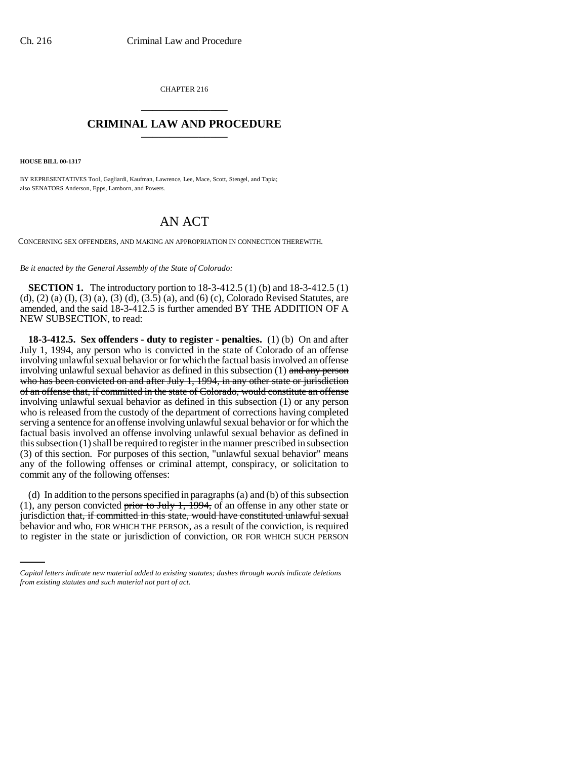CHAPTER 216 \_\_\_\_\_\_\_\_\_\_\_\_\_\_\_

## **CRIMINAL LAW AND PROCEDURE** \_\_\_\_\_\_\_\_\_\_\_\_\_\_\_

**HOUSE BILL 00-1317** 

BY REPRESENTATIVES Tool, Gagliardi, Kaufman, Lawrence, Lee, Mace, Scott, Stengel, and Tapia; also SENATORS Anderson, Epps, Lamborn, and Powers.

# AN ACT

CONCERNING SEX OFFENDERS, AND MAKING AN APPROPRIATION IN CONNECTION THEREWITH.

*Be it enacted by the General Assembly of the State of Colorado:*

**SECTION 1.** The introductory portion to 18-3-412.5 (1) (b) and 18-3-412.5 (1) (d), (2) (a) (I), (3) (a), (3) (d), (3.5) (a), and (6) (c), Colorado Revised Statutes, are amended, and the said 18-3-412.5 is further amended BY THE ADDITION OF A NEW SUBSECTION, to read:

**18-3-412.5. Sex offenders - duty to register - penalties.** (1) (b) On and after July 1, 1994, any person who is convicted in the state of Colorado of an offense involving unlawful sexual behavior or for which the factual basis involved an offense involving unlawful sexual behavior as defined in this subsection  $(1)$  and any person who has been convicted on and after July 1, 1994, in any other state or jurisdiction of an offense that, if committed in the state of Colorado, would constitute an offense involving unlawful sexual behavior as defined in this subsection (1) or any person who is released from the custody of the department of corrections having completed serving a sentence for an offense involving unlawful sexual behavior or for which the factual basis involved an offense involving unlawful sexual behavior as defined in this subsection (1) shall be required to register in the manner prescribed in subsection (3) of this section. For purposes of this section, "unlawful sexual behavior" means any of the following offenses or criminal attempt, conspiracy, or solicitation to commit any of the following offenses:

jurisdiction that, if committed in this state, would have constituted unlawful sexual jurisdiction that, if committed in this state, would have constituted unlawful sexual (d) In addition to the persons specified in paragraphs (a) and (b) of this subsection (1), any person convicted prior to July 1,  $\overline{1994}$ , of an offense in any other state or behavior and who, FOR WHICH THE PERSON, as a result of the conviction, is required to register in the state or jurisdiction of conviction, OR FOR WHICH SUCH PERSON

*Capital letters indicate new material added to existing statutes; dashes through words indicate deletions from existing statutes and such material not part of act.*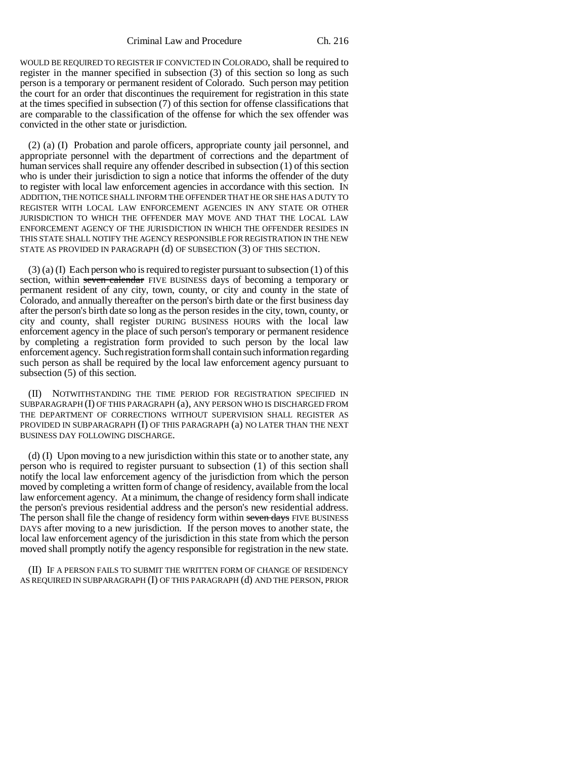WOULD BE REQUIRED TO REGISTER IF CONVICTED IN COLORADO, shall be required to register in the manner specified in subsection (3) of this section so long as such person is a temporary or permanent resident of Colorado. Such person may petition the court for an order that discontinues the requirement for registration in this state at the times specified in subsection (7) of this section for offense classifications that are comparable to the classification of the offense for which the sex offender was convicted in the other state or jurisdiction.

(2) (a) (I) Probation and parole officers, appropriate county jail personnel, and appropriate personnel with the department of corrections and the department of human services shall require any offender described in subsection (1) of this section who is under their jurisdiction to sign a notice that informs the offender of the duty to register with local law enforcement agencies in accordance with this section. IN ADDITION, THE NOTICE SHALL INFORM THE OFFENDER THAT HE OR SHE HAS A DUTY TO REGISTER WITH LOCAL LAW ENFORCEMENT AGENCIES IN ANY STATE OR OTHER JURISDICTION TO WHICH THE OFFENDER MAY MOVE AND THAT THE LOCAL LAW ENFORCEMENT AGENCY OF THE JURISDICTION IN WHICH THE OFFENDER RESIDES IN THIS STATE SHALL NOTIFY THE AGENCY RESPONSIBLE FOR REGISTRATION IN THE NEW STATE AS PROVIDED IN PARAGRAPH (d) OF SUBSECTION (3) OF THIS SECTION.

 $(3)$  (a) (I) Each person who is required to register pursuant to subsection (1) of this section, within seven calendar FIVE BUSINESS days of becoming a temporary or permanent resident of any city, town, county, or city and county in the state of Colorado, and annually thereafter on the person's birth date or the first business day after the person's birth date so long as the person resides in the city, town, county, or city and county, shall register DURING BUSINESS HOURS with the local law enforcement agency in the place of such person's temporary or permanent residence by completing a registration form provided to such person by the local law enforcement agency. Such registration form shall contain such information regarding such person as shall be required by the local law enforcement agency pursuant to subsection (5) of this section.

(II) NOTWITHSTANDING THE TIME PERIOD FOR REGISTRATION SPECIFIED IN SUBPARAGRAPH (I) OF THIS PARAGRAPH (a), ANY PERSON WHO IS DISCHARGED FROM THE DEPARTMENT OF CORRECTIONS WITHOUT SUPERVISION SHALL REGISTER AS PROVIDED IN SUBPARAGRAPH (I) OF THIS PARAGRAPH (a) NO LATER THAN THE NEXT BUSINESS DAY FOLLOWING DISCHARGE.

(d) (I) Upon moving to a new jurisdiction within this state or to another state, any person who is required to register pursuant to subsection (1) of this section shall notify the local law enforcement agency of the jurisdiction from which the person moved by completing a written form of change of residency, available from the local law enforcement agency. At a minimum, the change of residency form shall indicate the person's previous residential address and the person's new residential address. The person shall file the change of residency form within seven days FIVE BUSINESS DAYS after moving to a new jurisdiction. If the person moves to another state, the local law enforcement agency of the jurisdiction in this state from which the person moved shall promptly notify the agency responsible for registration in the new state.

(II) IF A PERSON FAILS TO SUBMIT THE WRITTEN FORM OF CHANGE OF RESIDENCY AS REQUIRED IN SUBPARAGRAPH (I) OF THIS PARAGRAPH (d) AND THE PERSON, PRIOR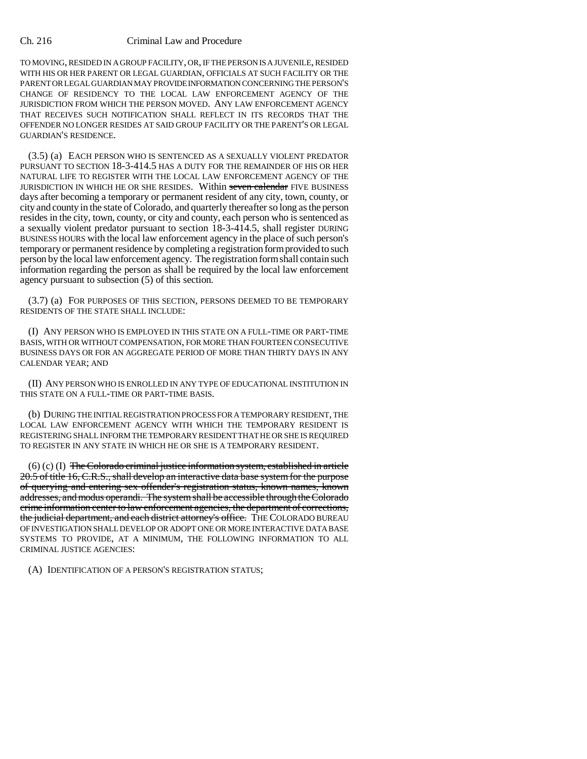TO MOVING, RESIDED IN A GROUP FACILITY, OR, IF THE PERSON IS A JUVENILE, RESIDED WITH HIS OR HER PARENT OR LEGAL GUARDIAN, OFFICIALS AT SUCH FACILITY OR THE PARENT OR LEGAL GUARDIAN MAY PROVIDE INFORMATION CONCERNING THE PERSON'S CHANGE OF RESIDENCY TO THE LOCAL LAW ENFORCEMENT AGENCY OF THE JURISDICTION FROM WHICH THE PERSON MOVED. ANY LAW ENFORCEMENT AGENCY THAT RECEIVES SUCH NOTIFICATION SHALL REFLECT IN ITS RECORDS THAT THE OFFENDER NO LONGER RESIDES AT SAID GROUP FACILITY OR THE PARENT'S OR LEGAL GUARDIAN'S RESIDENCE.

(3.5) (a) EACH PERSON WHO IS SENTENCED AS A SEXUALLY VIOLENT PREDATOR PURSUANT TO SECTION 18-3-414.5 HAS A DUTY FOR THE REMAINDER OF HIS OR HER NATURAL LIFE TO REGISTER WITH THE LOCAL LAW ENFORCEMENT AGENCY OF THE JURISDICTION IN WHICH HE OR SHE RESIDES. Within seven calendar FIVE BUSINESS days after becoming a temporary or permanent resident of any city, town, county, or city and county in the state of Colorado, and quarterly thereafter so long as the person resides in the city, town, county, or city and county, each person who is sentenced as a sexually violent predator pursuant to section 18-3-414.5, shall register DURING BUSINESS HOURS with the local law enforcement agency in the place of such person's temporary or permanent residence by completing a registration form provided to such person by the local law enforcement agency. The registration form shall contain such information regarding the person as shall be required by the local law enforcement agency pursuant to subsection (5) of this section.

(3.7) (a) FOR PURPOSES OF THIS SECTION, PERSONS DEEMED TO BE TEMPORARY RESIDENTS OF THE STATE SHALL INCLUDE:

(I) ANY PERSON WHO IS EMPLOYED IN THIS STATE ON A FULL-TIME OR PART-TIME BASIS, WITH OR WITHOUT COMPENSATION, FOR MORE THAN FOURTEEN CONSECUTIVE BUSINESS DAYS OR FOR AN AGGREGATE PERIOD OF MORE THAN THIRTY DAYS IN ANY CALENDAR YEAR; AND

(II) ANY PERSON WHO IS ENROLLED IN ANY TYPE OF EDUCATIONAL INSTITUTION IN THIS STATE ON A FULL-TIME OR PART-TIME BASIS.

(b) DURING THE INITIAL REGISTRATION PROCESS FOR A TEMPORARY RESIDENT, THE LOCAL LAW ENFORCEMENT AGENCY WITH WHICH THE TEMPORARY RESIDENT IS REGISTERING SHALL INFORM THE TEMPORARY RESIDENT THAT HE OR SHE IS REQUIRED TO REGISTER IN ANY STATE IN WHICH HE OR SHE IS A TEMPORARY RESIDENT.

 $(6)$  (c) (I) The Colorado criminal justice information system, established in article 20.5 of title 16, C.R.S., shall develop an interactive data base system for the purpose of querying and entering sex offender's registration status, known names, known addresses, and modus operandi. The system shall be accessible through the Colorado crime information center to law enforcement agencies, the department of corrections, the judicial department, and each district attorney's office. THE COLORADO BUREAU OF INVESTIGATION SHALL DEVELOP OR ADOPT ONE OR MORE INTERACTIVE DATA BASE SYSTEMS TO PROVIDE, AT A MINIMUM, THE FOLLOWING INFORMATION TO ALL CRIMINAL JUSTICE AGENCIES:

(A) IDENTIFICATION OF A PERSON'S REGISTRATION STATUS;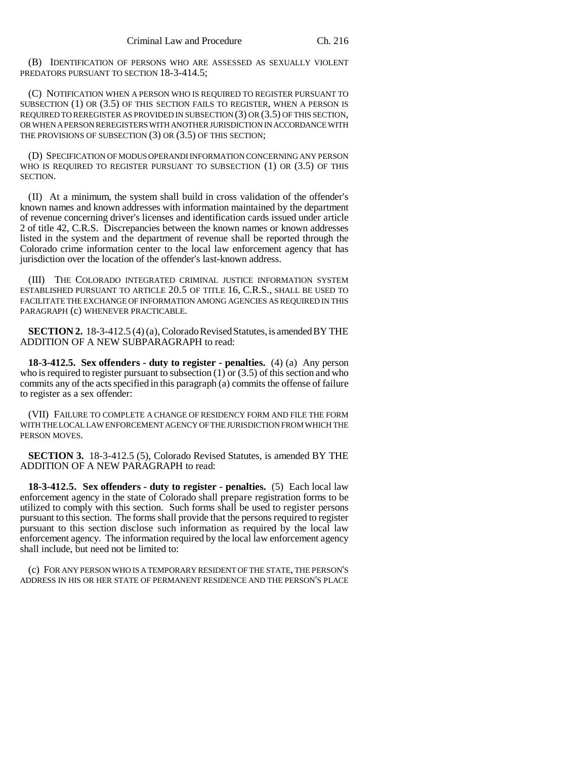(B) IDENTIFICATION OF PERSONS WHO ARE ASSESSED AS SEXUALLY VIOLENT PREDATORS PURSUANT TO SECTION 18-3-414.5;

(C) NOTIFICATION WHEN A PERSON WHO IS REQUIRED TO REGISTER PURSUANT TO SUBSECTION (1) OR (3.5) OF THIS SECTION FAILS TO REGISTER, WHEN A PERSON IS REQUIRED TO REREGISTER AS PROVIDED IN SUBSECTION (3) OR (3.5) OF THIS SECTION, OR WHEN A PERSON REREGISTERS WITH ANOTHER JURISDICTION IN ACCORDANCE WITH THE PROVISIONS OF SUBSECTION (3) OR (3.5) OF THIS SECTION;

(D) SPECIFICATION OF MODUS OPERANDI INFORMATION CONCERNING ANY PERSON WHO IS REQUIRED TO REGISTER PURSUANT TO SUBSECTION (1) OR (3.5) OF THIS SECTION.

(II) At a minimum, the system shall build in cross validation of the offender's known names and known addresses with information maintained by the department of revenue concerning driver's licenses and identification cards issued under article 2 of title 42, C.R.S. Discrepancies between the known names or known addresses listed in the system and the department of revenue shall be reported through the Colorado crime information center to the local law enforcement agency that has jurisdiction over the location of the offender's last-known address.

(III) THE COLORADO INTEGRATED CRIMINAL JUSTICE INFORMATION SYSTEM ESTABLISHED PURSUANT TO ARTICLE 20.5 OF TITLE 16, C.R.S., SHALL BE USED TO FACILITATE THE EXCHANGE OF INFORMATION AMONG AGENCIES AS REQUIRED IN THIS PARAGRAPH (c) WHENEVER PRACTICABLE.

**SECTION 2.** 18-3-412.5 (4) (a), Colorado Revised Statutes, is amended BY THE ADDITION OF A NEW SUBPARAGRAPH to read:

**18-3-412.5. Sex offenders - duty to register - penalties.** (4) (a) Any person who is required to register pursuant to subsection (1) or (3.5) of this section and who commits any of the acts specified in this paragraph (a) commits the offense of failure to register as a sex offender:

(VII) FAILURE TO COMPLETE A CHANGE OF RESIDENCY FORM AND FILE THE FORM WITH THE LOCAL LAW ENFORCEMENT AGENCY OF THE JURISDICTION FROM WHICH THE PERSON MOVES.

**SECTION 3.** 18-3-412.5 (5), Colorado Revised Statutes, is amended BY THE ADDITION OF A NEW PARAGRAPH to read:

**18-3-412.5. Sex offenders - duty to register - penalties.** (5) Each local law enforcement agency in the state of Colorado shall prepare registration forms to be utilized to comply with this section. Such forms shall be used to register persons pursuant to this section. The forms shall provide that the persons required to register pursuant to this section disclose such information as required by the local law enforcement agency. The information required by the local law enforcement agency shall include, but need not be limited to:

(c) FOR ANY PERSON WHO IS A TEMPORARY RESIDENT OF THE STATE, THE PERSON'S ADDRESS IN HIS OR HER STATE OF PERMANENT RESIDENCE AND THE PERSON'S PLACE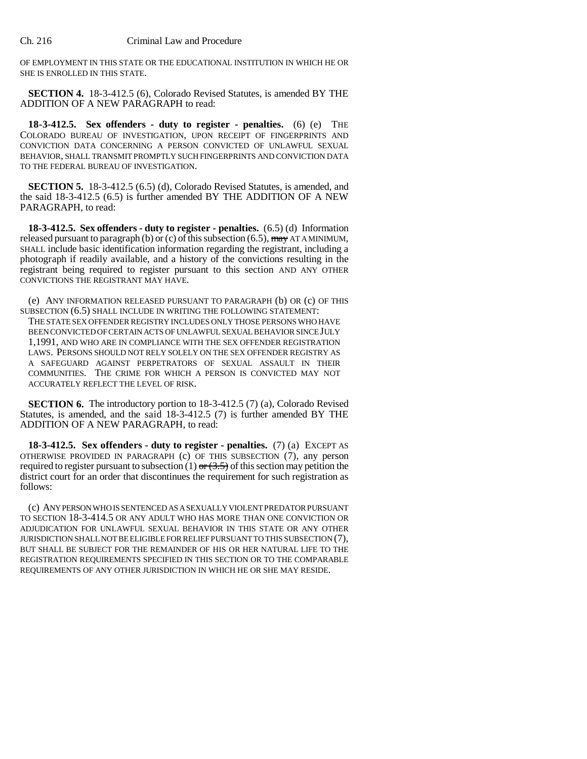OF EMPLOYMENT IN THIS STATE OR THE EDUCATIONAL INSTITUTION IN WHICH HE OR SHE IS ENROLLED IN THIS STATE.

**SECTION 4.** 18-3-412.5 (6), Colorado Revised Statutes, is amended BY THE ADDITION OF A NEW PARAGRAPH to read:

**18-3-412.5. Sex offenders - duty to register - penalties.** (6) (e) THE COLORADO BUREAU OF INVESTIGATION, UPON RECEIPT OF FINGERPRINTS AND CONVICTION DATA CONCERNING A PERSON CONVICTED OF UNLAWFUL SEXUAL BEHAVIOR, SHALL TRANSMIT PROMPTLY SUCH FINGERPRINTS AND CONVICTION DATA TO THE FEDERAL BUREAU OF INVESTIGATION.

**SECTION 5.** 18-3-412.5 (6.5) (d), Colorado Revised Statutes, is amended, and the said 18-3-412.5 (6.5) is further amended BY THE ADDITION OF A NEW PARAGRAPH, to read:

**18-3-412.5. Sex offenders - duty to register - penalties.** (6.5) (d) Information released pursuant to paragraph (b) or (c) of this subsection (6.5),  $\frac{1}{2}$  AT A MINIMUM, SHALL include basic identification information regarding the registrant, including a photograph if readily available, and a history of the convictions resulting in the registrant being required to register pursuant to this section AND ANY OTHER CONVICTIONS THE REGISTRANT MAY HAVE.

(e) ANY INFORMATION RELEASED PURSUANT TO PARAGRAPH (b) OR (c) OF THIS SUBSECTION (6.5) SHALL INCLUDE IN WRITING THE FOLLOWING STATEMENT: THE STATE SEX OFFENDER REGISTRY INCLUDES ONLY THOSE PERSONS WHO HAVE BEEN CONVICTED OF CERTAIN ACTS OF UNLAWFUL SEXUAL BEHAVIOR SINCE JULY 1,1991, AND WHO ARE IN COMPLIANCE WITH THE SEX OFFENDER REGISTRATION LAWS. PERSONS SHOULD NOT RELY SOLELY ON THE SEX OFFENDER REGISTRY AS A SAFEGUARD AGAINST PERPETRATORS OF SEXUAL ASSAULT IN THEIR COMMUNITIES. THE CRIME FOR WHICH A PERSON IS CONVICTED MAY NOT ACCURATELY REFLECT THE LEVEL OF RISK.

**SECTION 6.** The introductory portion to 18-3-412.5 (7) (a), Colorado Revised Statutes, is amended, and the said 18-3-412.5 (7) is further amended BY THE ADDITION OF A NEW PARAGRAPH, to read:

**18-3-412.5. Sex offenders - duty to register - penalties.** (7) (a) EXCEPT AS OTHERWISE PROVIDED IN PARAGRAPH (c) OF THIS SUBSECTION (7), any person required to register pursuant to subsection (1)  $\sigma$  (3.5) of this section may petition the district court for an order that discontinues the requirement for such registration as follows:

(c) ANY PERSON WHO IS SENTENCED AS A SEXUALLY VIOLENT PREDATOR PURSUANT TO SECTION 18-3-414.5 OR ANY ADULT WHO HAS MORE THAN ONE CONVICTION OR ADJUDICATION FOR UNLAWFUL SEXUAL BEHAVIOR IN THIS STATE OR ANY OTHER JURISDICTION SHALL NOT BE ELIGIBLE FOR RELIEF PURSUANT TO THIS SUBSECTION (7), BUT SHALL BE SUBJECT FOR THE REMAINDER OF HIS OR HER NATURAL LIFE TO THE REGISTRATION REQUIREMENTS SPECIFIED IN THIS SECTION OR TO THE COMPARABLE REQUIREMENTS OF ANY OTHER JURISDICTION IN WHICH HE OR SHE MAY RESIDE.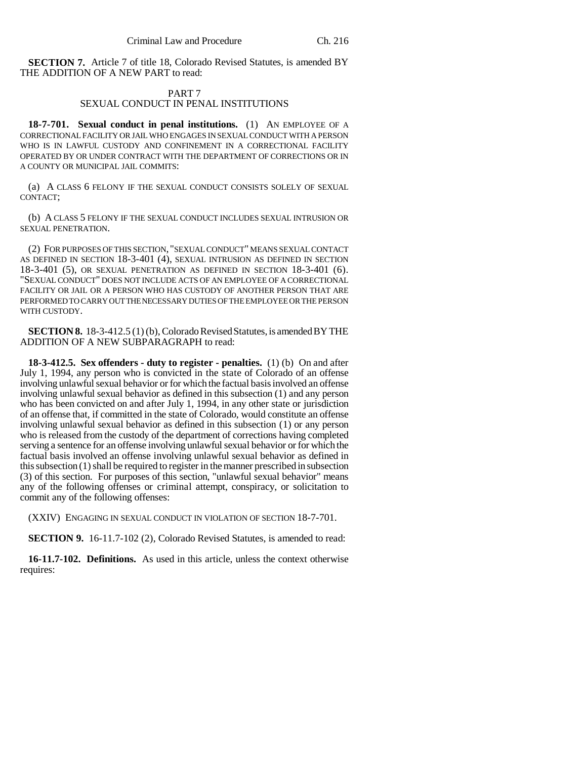**SECTION 7.** Article 7 of title 18, Colorado Revised Statutes, is amended BY THE ADDITION OF A NEW PART to read:

### PART 7 SEXUAL CONDUCT IN PENAL INSTITUTIONS

**18-7-701. Sexual conduct in penal institutions.** (1) AN EMPLOYEE OF A CORRECTIONAL FACILITY OR JAIL WHO ENGAGES IN SEXUAL CONDUCT WITH A PERSON WHO IS IN LAWFUL CUSTODY AND CONFINEMENT IN A CORRECTIONAL FACILITY OPERATED BY OR UNDER CONTRACT WITH THE DEPARTMENT OF CORRECTIONS OR IN A COUNTY OR MUNICIPAL JAIL COMMITS:

(a) A CLASS 6 FELONY IF THE SEXUAL CONDUCT CONSISTS SOLELY OF SEXUAL CONTACT;

(b) A CLASS 5 FELONY IF THE SEXUAL CONDUCT INCLUDES SEXUAL INTRUSION OR SEXUAL PENETRATION.

(2) FOR PURPOSES OF THIS SECTION, "SEXUAL CONDUCT" MEANS SEXUAL CONTACT AS DEFINED IN SECTION 18-3-401 (4), SEXUAL INTRUSION AS DEFINED IN SECTION 18-3-401 (5), OR SEXUAL PENETRATION AS DEFINED IN SECTION 18-3-401 (6). "SEXUAL CONDUCT" DOES NOT INCLUDE ACTS OF AN EMPLOYEE OF A CORRECTIONAL FACILITY OR JAIL OR A PERSON WHO HAS CUSTODY OF ANOTHER PERSON THAT ARE PERFORMED TO CARRY OUT THE NECESSARY DUTIES OF THE EMPLOYEE OR THE PERSON WITH CUSTODY.

**SECTION 8.** 18-3-412.5 (1) (b), Colorado Revised Statutes, is amended BY THE ADDITION OF A NEW SUBPARAGRAPH to read:

**18-3-412.5. Sex offenders - duty to register - penalties.** (1) (b) On and after July 1, 1994, any person who is convicted in the state of Colorado of an offense involving unlawful sexual behavior or for which the factual basis involved an offense involving unlawful sexual behavior as defined in this subsection (1) and any person who has been convicted on and after July 1, 1994, in any other state or jurisdiction of an offense that, if committed in the state of Colorado, would constitute an offense involving unlawful sexual behavior as defined in this subsection (1) or any person who is released from the custody of the department of corrections having completed serving a sentence for an offense involving unlawful sexual behavior or for which the factual basis involved an offense involving unlawful sexual behavior as defined in this subsection (1) shall be required to register in the manner prescribed in subsection (3) of this section. For purposes of this section, "unlawful sexual behavior" means any of the following offenses or criminal attempt, conspiracy, or solicitation to commit any of the following offenses:

(XXIV) ENGAGING IN SEXUAL CONDUCT IN VIOLATION OF SECTION 18-7-701.

**SECTION 9.** 16-11.7-102 (2), Colorado Revised Statutes, is amended to read:

**16-11.7-102. Definitions.** As used in this article, unless the context otherwise requires: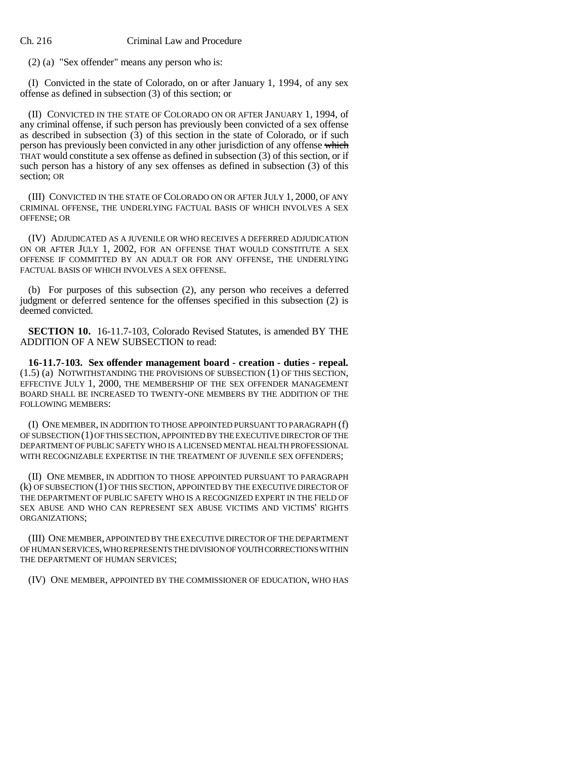(2) (a) "Sex offender" means any person who is:

(I) Convicted in the state of Colorado, on or after January 1, 1994, of any sex offense as defined in subsection (3) of this section; or

(II) CONVICTED IN THE STATE OF COLORADO ON OR AFTER JANUARY 1, 1994, of any criminal offense, if such person has previously been convicted of a sex offense as described in subsection  $(3)$  of this section in the state of Colorado, or if such person has previously been convicted in any other jurisdiction of any offense which THAT would constitute a sex offense as defined in subsection (3) of this section, or if such person has a history of any sex offenses as defined in subsection (3) of this section; OR

(III) CONVICTED IN THE STATE OF COLORADO ON OR AFTER JULY 1, 2000, OF ANY CRIMINAL OFFENSE, THE UNDERLYING FACTUAL BASIS OF WHICH INVOLVES A SEX OFFENSE; OR

(IV) ADJUDICATED AS A JUVENILE OR WHO RECEIVES A DEFERRED ADJUDICATION ON OR AFTER JULY 1, 2002, FOR AN OFFENSE THAT WOULD CONSTITUTE A SEX OFFENSE IF COMMITTED BY AN ADULT OR FOR ANY OFFENSE, THE UNDERLYING FACTUAL BASIS OF WHICH INVOLVES A SEX OFFENSE.

(b) For purposes of this subsection (2), any person who receives a deferred judgment or deferred sentence for the offenses specified in this subsection (2) is deemed convicted.

**SECTION 10.** 16-11.7-103, Colorado Revised Statutes, is amended BY THE ADDITION OF A NEW SUBSECTION to read:

**16-11.7-103. Sex offender management board - creation - duties - repeal.** (1.5) (a) NOTWITHSTANDING THE PROVISIONS OF SUBSECTION (1) OF THIS SECTION, EFFECTIVE JULY 1, 2000, THE MEMBERSHIP OF THE SEX OFFENDER MANAGEMENT BOARD SHALL BE INCREASED TO TWENTY-ONE MEMBERS BY THE ADDITION OF THE FOLLOWING MEMBERS:

(I) ONE MEMBER, IN ADDITION TO THOSE APPOINTED PURSUANT TO PARAGRAPH (f) OF SUBSECTION (1) OF THIS SECTION, APPOINTED BY THE EXECUTIVE DIRECTOR OF THE DEPARTMENT OF PUBLIC SAFETY WHO IS A LICENSED MENTAL HEALTH PROFESSIONAL WITH RECOGNIZABLE EXPERTISE IN THE TREATMENT OF JUVENILE SEX OFFENDERS;

(II) ONE MEMBER, IN ADDITION TO THOSE APPOINTED PURSUANT TO PARAGRAPH (k) OF SUBSECTION (1) OF THIS SECTION, APPOINTED BY THE EXECUTIVE DIRECTOR OF THE DEPARTMENT OF PUBLIC SAFETY WHO IS A RECOGNIZED EXPERT IN THE FIELD OF SEX ABUSE AND WHO CAN REPRESENT SEX ABUSE VICTIMS AND VICTIMS' RIGHTS ORGANIZATIONS;

(III) ONE MEMBER, APPOINTED BY THE EXECUTIVE DIRECTOR OF THE DEPARTMENT OF HUMAN SERVICES, WHO REPRESENTS THE DIVISION OF YOUTH CORRECTIONS WITHIN THE DEPARTMENT OF HUMAN SERVICES;

(IV) ONE MEMBER, APPOINTED BY THE COMMISSIONER OF EDUCATION, WHO HAS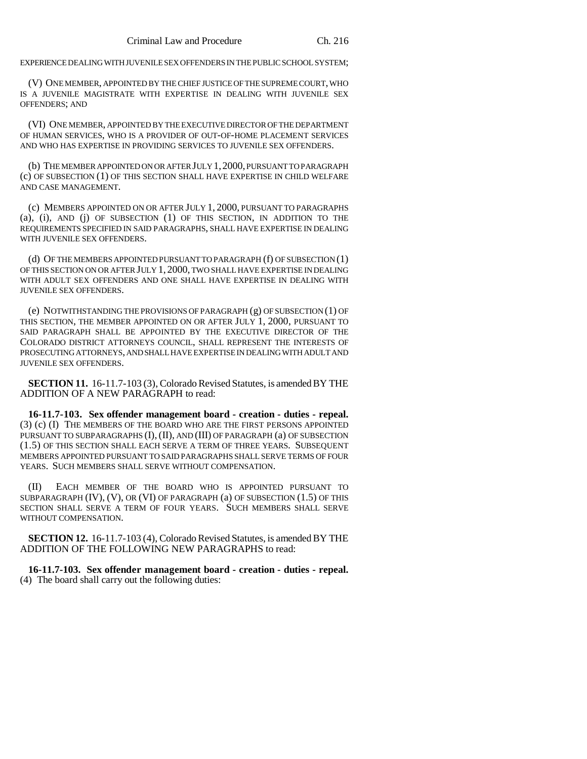EXPERIENCE DEALING WITH JUVENILE SEX OFFENDERS IN THE PUBLIC SCHOOL SYSTEM;

(V) ONE MEMBER, APPOINTED BY THE CHIEF JUSTICE OF THE SUPREME COURT, WHO IS A JUVENILE MAGISTRATE WITH EXPERTISE IN DEALING WITH JUVENILE SEX OFFENDERS; AND

(VI) ONE MEMBER, APPOINTED BY THE EXECUTIVE DIRECTOR OF THE DEPARTMENT OF HUMAN SERVICES, WHO IS A PROVIDER OF OUT-OF-HOME PLACEMENT SERVICES AND WHO HAS EXPERTISE IN PROVIDING SERVICES TO JUVENILE SEX OFFENDERS.

(b) THE MEMBER APPOINTED ON OR AFTER JULY 1,2000, PURSUANT TO PARAGRAPH (c) OF SUBSECTION (1) OF THIS SECTION SHALL HAVE EXPERTISE IN CHILD WELFARE AND CASE MANAGEMENT.

(c) MEMBERS APPOINTED ON OR AFTER JULY 1, 2000, PURSUANT TO PARAGRAPHS (a), (i), AND (j) OF SUBSECTION (1) OF THIS SECTION, IN ADDITION TO THE REQUIREMENTS SPECIFIED IN SAID PARAGRAPHS, SHALL HAVE EXPERTISE IN DEALING WITH JUVENILE SEX OFFENDERS.

(d) OF THE MEMBERS APPOINTED PURSUANT TO PARAGRAPH (f) OF SUBSECTION (1) OF THIS SECTION ON OR AFTER JULY 1, 2000, TWO SHALL HAVE EXPERTISE IN DEALING WITH ADULT SEX OFFENDERS AND ONE SHALL HAVE EXPERTISE IN DEALING WITH JUVENILE SEX OFFENDERS.

(e) NOTWITHSTANDING THE PROVISIONS OF PARAGRAPH (g) OF SUBSECTION (1) OF THIS SECTION, THE MEMBER APPOINTED ON OR AFTER JULY 1, 2000, PURSUANT TO SAID PARAGRAPH SHALL BE APPOINTED BY THE EXECUTIVE DIRECTOR OF THE COLORADO DISTRICT ATTORNEYS COUNCIL, SHALL REPRESENT THE INTERESTS OF PROSECUTING ATTORNEYS, AND SHALL HAVE EXPERTISE IN DEALING WITH ADULT AND JUVENILE SEX OFFENDERS.

**SECTION 11.** 16-11.7-103 (3), Colorado Revised Statutes, is amended BY THE ADDITION OF A NEW PARAGRAPH to read:

**16-11.7-103. Sex offender management board - creation - duties - repeal.** (3) (c) (I) THE MEMBERS OF THE BOARD WHO ARE THE FIRST PERSONS APPOINTED PURSUANT TO SUBPARAGRAPHS (I),(II), AND (III) OF PARAGRAPH (a) OF SUBSECTION (1.5) OF THIS SECTION SHALL EACH SERVE A TERM OF THREE YEARS. SUBSEQUENT MEMBERS APPOINTED PURSUANT TO SAID PARAGRAPHS SHALL SERVE TERMS OF FOUR YEARS. SUCH MEMBERS SHALL SERVE WITHOUT COMPENSATION.

(II) EACH MEMBER OF THE BOARD WHO IS APPOINTED PURSUANT TO SUBPARAGRAPH (IV), (V), OR (VI) OF PARAGRAPH (a) OF SUBSECTION (1.5) OF THIS SECTION SHALL SERVE A TERM OF FOUR YEARS. SUCH MEMBERS SHALL SERVE WITHOUT COMPENSATION.

**SECTION 12.** 16-11.7-103 (4), Colorado Revised Statutes, is amended BY THE ADDITION OF THE FOLLOWING NEW PARAGRAPHS to read:

**16-11.7-103. Sex offender management board - creation - duties - repeal.** (4) The board shall carry out the following duties: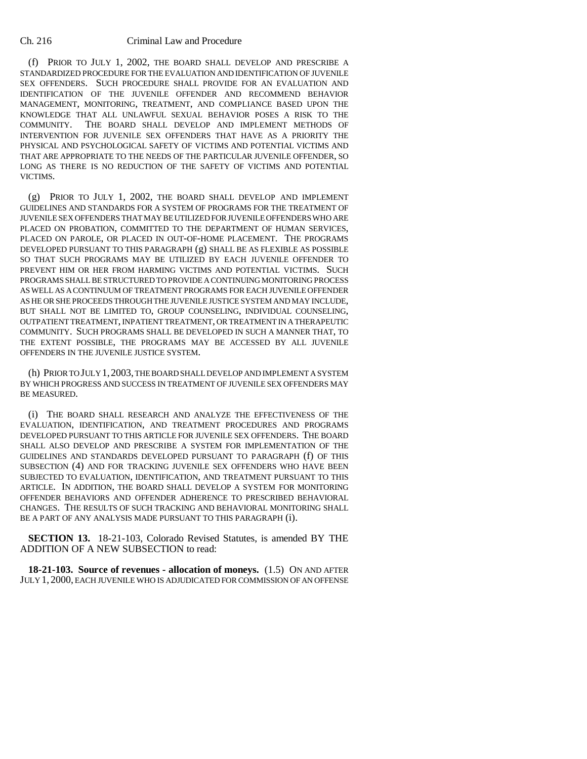(f) PRIOR TO JULY 1, 2002, THE BOARD SHALL DEVELOP AND PRESCRIBE A STANDARDIZED PROCEDURE FOR THE EVALUATION AND IDENTIFICATION OF JUVENILE SEX OFFENDERS. SUCH PROCEDURE SHALL PROVIDE FOR AN EVALUATION AND IDENTIFICATION OF THE JUVENILE OFFENDER AND RECOMMEND BEHAVIOR MANAGEMENT, MONITORING, TREATMENT, AND COMPLIANCE BASED UPON THE KNOWLEDGE THAT ALL UNLAWFUL SEXUAL BEHAVIOR POSES A RISK TO THE COMMUNITY. THE BOARD SHALL DEVELOP AND IMPLEMENT METHODS OF INTERVENTION FOR JUVENILE SEX OFFENDERS THAT HAVE AS A PRIORITY THE PHYSICAL AND PSYCHOLOGICAL SAFETY OF VICTIMS AND POTENTIAL VICTIMS AND THAT ARE APPROPRIATE TO THE NEEDS OF THE PARTICULAR JUVENILE OFFENDER, SO LONG AS THERE IS NO REDUCTION OF THE SAFETY OF VICTIMS AND POTENTIAL VICTIMS.

(g) PRIOR TO JULY 1, 2002, THE BOARD SHALL DEVELOP AND IMPLEMENT GUIDELINES AND STANDARDS FOR A SYSTEM OF PROGRAMS FOR THE TREATMENT OF JUVENILE SEX OFFENDERS THAT MAY BE UTILIZED FOR JUVENILE OFFENDERS WHO ARE PLACED ON PROBATION, COMMITTED TO THE DEPARTMENT OF HUMAN SERVICES, PLACED ON PAROLE, OR PLACED IN OUT-OF-HOME PLACEMENT. THE PROGRAMS DEVELOPED PURSUANT TO THIS PARAGRAPH (g) SHALL BE AS FLEXIBLE AS POSSIBLE SO THAT SUCH PROGRAMS MAY BE UTILIZED BY EACH JUVENILE OFFENDER TO PREVENT HIM OR HER FROM HARMING VICTIMS AND POTENTIAL VICTIMS. SUCH PROGRAMS SHALL BE STRUCTURED TO PROVIDE A CONTINUING MONITORING PROCESS AS WELL AS A CONTINUUM OF TREATMENT PROGRAMS FOR EACH JUVENILE OFFENDER AS HE OR SHE PROCEEDS THROUGH THE JUVENILE JUSTICE SYSTEM AND MAY INCLUDE, BUT SHALL NOT BE LIMITED TO, GROUP COUNSELING, INDIVIDUAL COUNSELING, OUTPATIENT TREATMENT, INPATIENT TREATMENT, OR TREATMENT IN A THERAPEUTIC COMMUNITY. SUCH PROGRAMS SHALL BE DEVELOPED IN SUCH A MANNER THAT, TO THE EXTENT POSSIBLE, THE PROGRAMS MAY BE ACCESSED BY ALL JUVENILE OFFENDERS IN THE JUVENILE JUSTICE SYSTEM.

(h) PRIOR TO JULY 1,2003, THE BOARD SHALL DEVELOP AND IMPLEMENT A SYSTEM BY WHICH PROGRESS AND SUCCESS IN TREATMENT OF JUVENILE SEX OFFENDERS MAY BE MEASURED.

(i) THE BOARD SHALL RESEARCH AND ANALYZE THE EFFECTIVENESS OF THE EVALUATION, IDENTIFICATION, AND TREATMENT PROCEDURES AND PROGRAMS DEVELOPED PURSUANT TO THIS ARTICLE FOR JUVENILE SEX OFFENDERS. THE BOARD SHALL ALSO DEVELOP AND PRESCRIBE A SYSTEM FOR IMPLEMENTATION OF THE GUIDELINES AND STANDARDS DEVELOPED PURSUANT TO PARAGRAPH (f) OF THIS SUBSECTION (4) AND FOR TRACKING JUVENILE SEX OFFENDERS WHO HAVE BEEN SUBJECTED TO EVALUATION, IDENTIFICATION, AND TREATMENT PURSUANT TO THIS ARTICLE. IN ADDITION, THE BOARD SHALL DEVELOP A SYSTEM FOR MONITORING OFFENDER BEHAVIORS AND OFFENDER ADHERENCE TO PRESCRIBED BEHAVIORAL CHANGES. THE RESULTS OF SUCH TRACKING AND BEHAVIORAL MONITORING SHALL BE A PART OF ANY ANALYSIS MADE PURSUANT TO THIS PARAGRAPH (i).

**SECTION 13.** 18-21-103, Colorado Revised Statutes, is amended BY THE ADDITION OF A NEW SUBSECTION to read:

**18-21-103. Source of revenues - allocation of moneys.** (1.5) ON AND AFTER JULY 1, 2000, EACH JUVENILE WHO IS ADJUDICATED FOR COMMISSION OF AN OFFENSE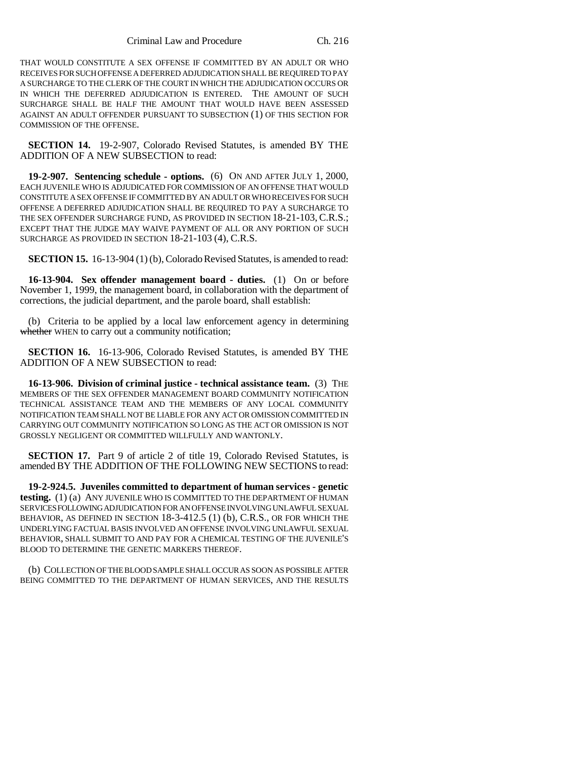THAT WOULD CONSTITUTE A SEX OFFENSE IF COMMITTED BY AN ADULT OR WHO RECEIVES FOR SUCH OFFENSE A DEFERRED ADJUDICATION SHALL BE REQUIRED TO PAY A SURCHARGE TO THE CLERK OF THE COURT IN WHICH THE ADJUDICATION OCCURS OR IN WHICH THE DEFERRED ADJUDICATION IS ENTERED. THE AMOUNT OF SUCH SURCHARGE SHALL BE HALF THE AMOUNT THAT WOULD HAVE BEEN ASSESSED AGAINST AN ADULT OFFENDER PURSUANT TO SUBSECTION (1) OF THIS SECTION FOR COMMISSION OF THE OFFENSE.

**SECTION 14.** 19-2-907, Colorado Revised Statutes, is amended BY THE ADDITION OF A NEW SUBSECTION to read:

**19-2-907. Sentencing schedule - options.** (6) ON AND AFTER JULY 1, 2000, EACH JUVENILE WHO IS ADJUDICATED FOR COMMISSION OF AN OFFENSE THAT WOULD CONSTITUTE A SEX OFFENSE IF COMMITTED BY AN ADULT OR WHO RECEIVES FOR SUCH OFFENSE A DEFERRED ADJUDICATION SHALL BE REQUIRED TO PAY A SURCHARGE TO THE SEX OFFENDER SURCHARGE FUND, AS PROVIDED IN SECTION 18-21-103, C.R.S.; EXCEPT THAT THE JUDGE MAY WAIVE PAYMENT OF ALL OR ANY PORTION OF SUCH SURCHARGE AS PROVIDED IN SECTION 18-21-103 (4), C.R.S.

**SECTION 15.** 16-13-904 (1) (b), Colorado Revised Statutes, is amended to read:

**16-13-904. Sex offender management board - duties.** (1) On or before November 1, 1999, the management board, in collaboration with the department of corrections, the judicial department, and the parole board, shall establish:

(b) Criteria to be applied by a local law enforcement agency in determining whether WHEN to carry out a community notification;

**SECTION 16.** 16-13-906, Colorado Revised Statutes, is amended BY THE ADDITION OF A NEW SUBSECTION to read:

**16-13-906. Division of criminal justice - technical assistance team.** (3) THE MEMBERS OF THE SEX OFFENDER MANAGEMENT BOARD COMMUNITY NOTIFICATION TECHNICAL ASSISTANCE TEAM AND THE MEMBERS OF ANY LOCAL COMMUNITY NOTIFICATION TEAM SHALL NOT BE LIABLE FOR ANY ACT OR OMISSION COMMITTED IN CARRYING OUT COMMUNITY NOTIFICATION SO LONG AS THE ACT OR OMISSION IS NOT GROSSLY NEGLIGENT OR COMMITTED WILLFULLY AND WANTONLY.

**SECTION 17.** Part 9 of article 2 of title 19, Colorado Revised Statutes, is amended BY THE ADDITION OF THE FOLLOWING NEW SECTIONS to read:

**19-2-924.5. Juveniles committed to department of human services - genetic testing.** (1) (a) ANY JUVENILE WHO IS COMMITTED TO THE DEPARTMENT OF HUMAN SERVICES FOLLOWING ADJUDICATION FOR AN OFFENSE INVOLVING UNLAWFUL SEXUAL BEHAVIOR, AS DEFINED IN SECTION 18-3-412.5 (1) (b), C.R.S., OR FOR WHICH THE UNDERLYING FACTUAL BASIS INVOLVED AN OFFENSE INVOLVING UNLAWFUL SEXUAL BEHAVIOR, SHALL SUBMIT TO AND PAY FOR A CHEMICAL TESTING OF THE JUVENILE'S BLOOD TO DETERMINE THE GENETIC MARKERS THEREOF.

(b) COLLECTION OF THE BLOOD SAMPLE SHALL OCCUR AS SOON AS POSSIBLE AFTER BEING COMMITTED TO THE DEPARTMENT OF HUMAN SERVICES, AND THE RESULTS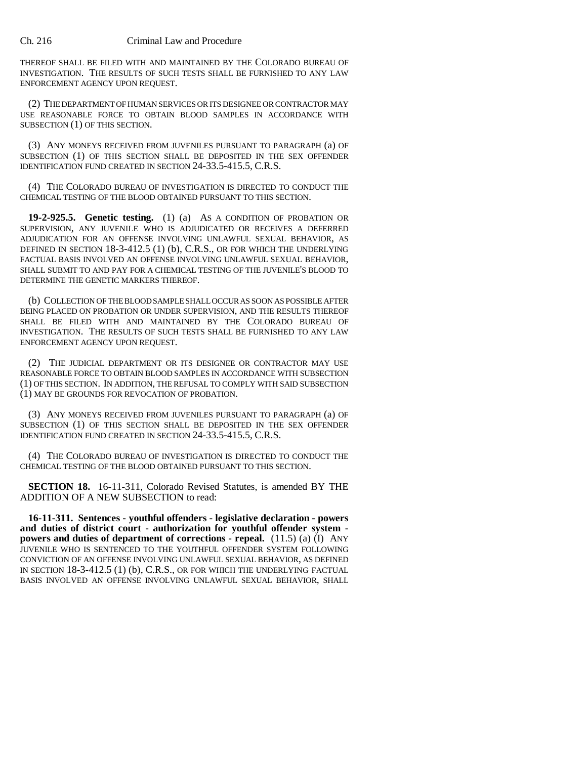THEREOF SHALL BE FILED WITH AND MAINTAINED BY THE COLORADO BUREAU OF INVESTIGATION. THE RESULTS OF SUCH TESTS SHALL BE FURNISHED TO ANY LAW ENFORCEMENT AGENCY UPON REQUEST.

(2) THE DEPARTMENT OF HUMAN SERVICES OR ITS DESIGNEE OR CONTRACTOR MAY USE REASONABLE FORCE TO OBTAIN BLOOD SAMPLES IN ACCORDANCE WITH SUBSECTION (1) OF THIS SECTION.

(3) ANY MONEYS RECEIVED FROM JUVENILES PURSUANT TO PARAGRAPH (a) OF SUBSECTION (1) OF THIS SECTION SHALL BE DEPOSITED IN THE SEX OFFENDER IDENTIFICATION FUND CREATED IN SECTION 24-33.5-415.5, C.R.S.

(4) THE COLORADO BUREAU OF INVESTIGATION IS DIRECTED TO CONDUCT THE CHEMICAL TESTING OF THE BLOOD OBTAINED PURSUANT TO THIS SECTION.

**19-2-925.5. Genetic testing.** (1) (a) AS A CONDITION OF PROBATION OR SUPERVISION, ANY JUVENILE WHO IS ADJUDICATED OR RECEIVES A DEFERRED ADJUDICATION FOR AN OFFENSE INVOLVING UNLAWFUL SEXUAL BEHAVIOR, AS DEFINED IN SECTION 18-3-412.5 (1) (b), C.R.S., OR FOR WHICH THE UNDERLYING FACTUAL BASIS INVOLVED AN OFFENSE INVOLVING UNLAWFUL SEXUAL BEHAVIOR, SHALL SUBMIT TO AND PAY FOR A CHEMICAL TESTING OF THE JUVENILE'S BLOOD TO DETERMINE THE GENETIC MARKERS THEREOF.

(b) COLLECTION OF THE BLOOD SAMPLE SHALL OCCUR AS SOON AS POSSIBLE AFTER BEING PLACED ON PROBATION OR UNDER SUPERVISION, AND THE RESULTS THEREOF SHALL BE FILED WITH AND MAINTAINED BY THE COLORADO BUREAU OF INVESTIGATION. THE RESULTS OF SUCH TESTS SHALL BE FURNISHED TO ANY LAW ENFORCEMENT AGENCY UPON REQUEST.

(2) THE JUDICIAL DEPARTMENT OR ITS DESIGNEE OR CONTRACTOR MAY USE REASONABLE FORCE TO OBTAIN BLOOD SAMPLES IN ACCORDANCE WITH SUBSECTION (1) OF THIS SECTION. IN ADDITION, THE REFUSAL TO COMPLY WITH SAID SUBSECTION (1) MAY BE GROUNDS FOR REVOCATION OF PROBATION.

(3) ANY MONEYS RECEIVED FROM JUVENILES PURSUANT TO PARAGRAPH (a) OF SUBSECTION (1) OF THIS SECTION SHALL BE DEPOSITED IN THE SEX OFFENDER IDENTIFICATION FUND CREATED IN SECTION 24-33.5-415.5, C.R.S.

(4) THE COLORADO BUREAU OF INVESTIGATION IS DIRECTED TO CONDUCT THE CHEMICAL TESTING OF THE BLOOD OBTAINED PURSUANT TO THIS SECTION.

**SECTION 18.** 16-11-311, Colorado Revised Statutes, is amended BY THE ADDITION OF A NEW SUBSECTION to read:

**16-11-311. Sentences - youthful offenders - legislative declaration - powers and duties of district court - authorization for youthful offender system powers and duties of department of corrections - repeal.** (11.5) (a) (I) ANY JUVENILE WHO IS SENTENCED TO THE YOUTHFUL OFFENDER SYSTEM FOLLOWING CONVICTION OF AN OFFENSE INVOLVING UNLAWFUL SEXUAL BEHAVIOR, AS DEFINED IN SECTION 18-3-412.5 (1) (b), C.R.S., OR FOR WHICH THE UNDERLYING FACTUAL BASIS INVOLVED AN OFFENSE INVOLVING UNLAWFUL SEXUAL BEHAVIOR, SHALL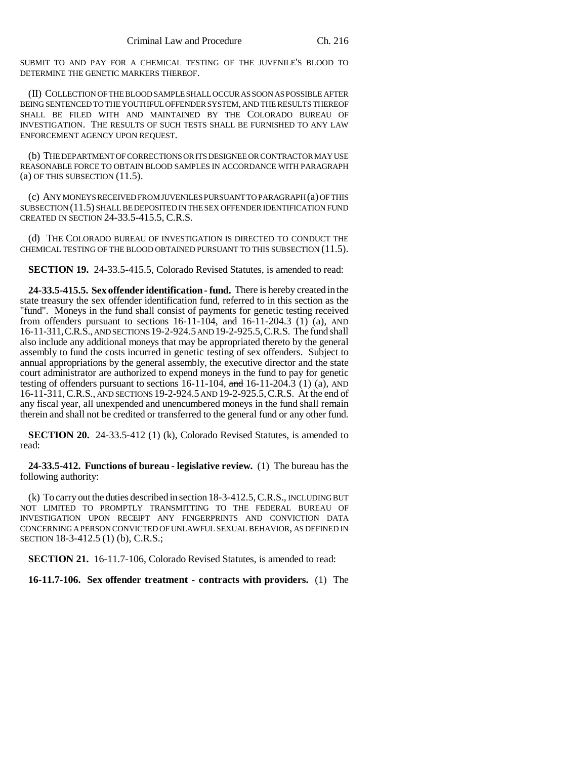SUBMIT TO AND PAY FOR A CHEMICAL TESTING OF THE JUVENILE'S BLOOD TO DETERMINE THE GENETIC MARKERS THEREOF.

(II) COLLECTION OF THE BLOOD SAMPLE SHALL OCCUR AS SOON AS POSSIBLE AFTER BEING SENTENCED TO THE YOUTHFUL OFFENDER SYSTEM, AND THE RESULTS THEREOF SHALL BE FILED WITH AND MAINTAINED BY THE COLORADO BUREAU OF INVESTIGATION. THE RESULTS OF SUCH TESTS SHALL BE FURNISHED TO ANY LAW ENFORCEMENT AGENCY UPON REQUEST.

(b) THE DEPARTMENT OF CORRECTIONS OR ITS DESIGNEE OR CONTRACTOR MAY USE REASONABLE FORCE TO OBTAIN BLOOD SAMPLES IN ACCORDANCE WITH PARAGRAPH  $(a)$  OF THIS SUBSECTION  $(11.5)$ .

(c) ANY MONEYS RECEIVED FROM JUVENILES PURSUANT TO PARAGRAPH (a) OF THIS SUBSECTION (11.5) SHALL BE DEPOSITED IN THE SEX OFFENDER IDENTIFICATION FUND CREATED IN SECTION 24-33.5-415.5, C.R.S.

(d) THE COLORADO BUREAU OF INVESTIGATION IS DIRECTED TO CONDUCT THE CHEMICAL TESTING OF THE BLOOD OBTAINED PURSUANT TO THIS SUBSECTION (11.5).

**SECTION 19.** 24-33.5-415.5, Colorado Revised Statutes, is amended to read:

**24-33.5-415.5. Sex offender identification - fund.** There is hereby created in the state treasury the sex offender identification fund, referred to in this section as the "fund". Moneys in the fund shall consist of payments for genetic testing received from offenders pursuant to sections  $16-11-104$ , and  $16-11-204.3$  (1) (a), AND 16-11-311,C.R.S., AND SECTIONS 19-2-924.5 AND 19-2-925.5,C.R.S. The fund shall also include any additional moneys that may be appropriated thereto by the general assembly to fund the costs incurred in genetic testing of sex offenders. Subject to annual appropriations by the general assembly, the executive director and the state court administrator are authorized to expend moneys in the fund to pay for genetic testing of offenders pursuant to sections  $16-11-104$ , and  $16-11-204.3$  (1) (a), AND 16-11-311,C.R.S., AND SECTIONS 19-2-924.5 AND 19-2-925.5,C.R.S. At the end of any fiscal year, all unexpended and unencumbered moneys in the fund shall remain therein and shall not be credited or transferred to the general fund or any other fund.

**SECTION 20.** 24-33.5-412 (1) (k), Colorado Revised Statutes, is amended to read:

**24-33.5-412. Functions of bureau - legislative review.** (1) The bureau has the following authority:

(k) To carry out the duties described in section 18-3-412.5, C.R.S., INCLUDING BUT NOT LIMITED TO PROMPTLY TRANSMITTING TO THE FEDERAL BUREAU OF INVESTIGATION UPON RECEIPT ANY FINGERPRINTS AND CONVICTION DATA CONCERNING A PERSON CONVICTED OF UNLAWFUL SEXUAL BEHAVIOR, AS DEFINED IN SECTION 18-3-412.5 (1) (b), C.R.S.;

**SECTION 21.** 16-11.7-106, Colorado Revised Statutes, is amended to read:

**16-11.7-106. Sex offender treatment - contracts with providers.** (1) The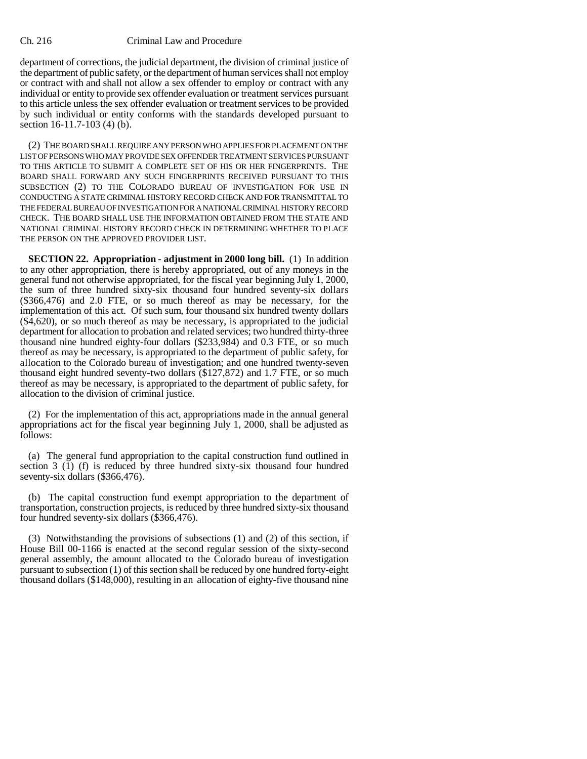department of corrections, the judicial department, the division of criminal justice of the department of public safety, or the department of human services shall not employ or contract with and shall not allow a sex offender to employ or contract with any individual or entity to provide sex offender evaluation or treatment services pursuant to this article unless the sex offender evaluation or treatment services to be provided by such individual or entity conforms with the standards developed pursuant to section 16-11.7-103 (4) (b).

(2) THE BOARD SHALL REQUIRE ANY PERSON WHO APPLIES FOR PLACEMENT ON THE LIST OF PERSONS WHO MAY PROVIDE SEX OFFENDER TREATMENT SERVICES PURSUANT TO THIS ARTICLE TO SUBMIT A COMPLETE SET OF HIS OR HER FINGERPRINTS. THE BOARD SHALL FORWARD ANY SUCH FINGERPRINTS RECEIVED PURSUANT TO THIS SUBSECTION (2) TO THE COLORADO BUREAU OF INVESTIGATION FOR USE IN CONDUCTING A STATE CRIMINAL HISTORY RECORD CHECK AND FOR TRANSMITTAL TO THE FEDERAL BUREAU OF INVESTIGATION FOR A NATIONAL CRIMINAL HISTORY RECORD CHECK. THE BOARD SHALL USE THE INFORMATION OBTAINED FROM THE STATE AND NATIONAL CRIMINAL HISTORY RECORD CHECK IN DETERMINING WHETHER TO PLACE THE PERSON ON THE APPROVED PROVIDER LIST.

**SECTION 22. Appropriation - adjustment in 2000 long bill.** (1) In addition to any other appropriation, there is hereby appropriated, out of any moneys in the general fund not otherwise appropriated, for the fiscal year beginning July 1, 2000, the sum of three hundred sixty-six thousand four hundred seventy-six dollars (\$366,476) and 2.0 FTE, or so much thereof as may be necessary, for the implementation of this act. Of such sum, four thousand six hundred twenty dollars (\$4,620), or so much thereof as may be necessary, is appropriated to the judicial department for allocation to probation and related services; two hundred thirty-three thousand nine hundred eighty-four dollars (\$233,984) and 0.3 FTE, or so much thereof as may be necessary, is appropriated to the department of public safety, for allocation to the Colorado bureau of investigation; and one hundred twenty-seven thousand eight hundred seventy-two dollars (\$127,872) and 1.7 FTE, or so much thereof as may be necessary, is appropriated to the department of public safety, for allocation to the division of criminal justice.

(2) For the implementation of this act, appropriations made in the annual general appropriations act for the fiscal year beginning July 1, 2000, shall be adjusted as follows:

(a) The general fund appropriation to the capital construction fund outlined in section 3  $(1)$  (f) is reduced by three hundred sixty-six thousand four hundred seventy-six dollars (\$366,476).

(b) The capital construction fund exempt appropriation to the department of transportation, construction projects, is reduced by three hundred sixty-six thousand four hundred seventy-six dollars (\$366,476).

(3) Notwithstanding the provisions of subsections (1) and (2) of this section, if House Bill 00-1166 is enacted at the second regular session of the sixty-second general assembly, the amount allocated to the Colorado bureau of investigation pursuant to subsection (1) of this section shall be reduced by one hundred forty-eight thousand dollars (\$148,000), resulting in an allocation of eighty-five thousand nine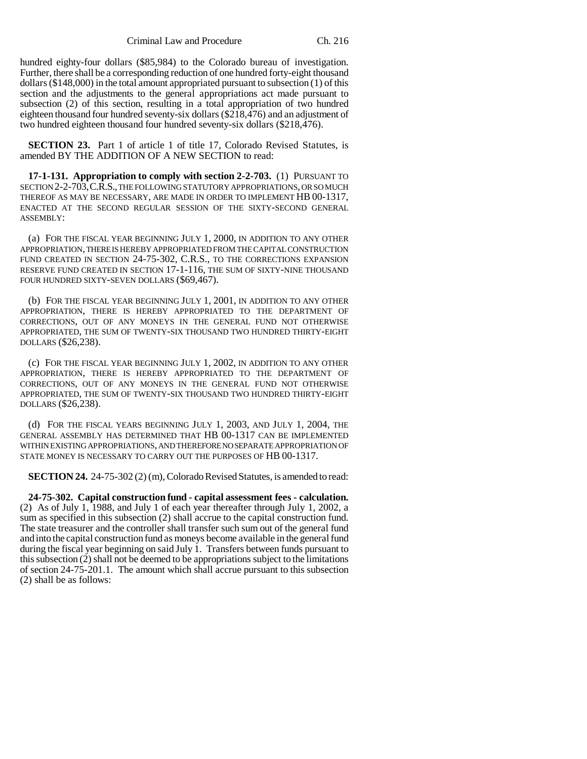Criminal Law and Procedure Ch. 216

hundred eighty-four dollars (\$85,984) to the Colorado bureau of investigation. Further, there shall be a corresponding reduction of one hundred forty-eight thousand dollars (\$148,000) in the total amount appropriated pursuant to subsection (1) of this section and the adjustments to the general appropriations act made pursuant to subsection (2) of this section, resulting in a total appropriation of two hundred eighteen thousand four hundred seventy-six dollars (\$218,476) and an adjustment of two hundred eighteen thousand four hundred seventy-six dollars (\$218,476).

**SECTION 23.** Part 1 of article 1 of title 17, Colorado Revised Statutes, is amended BY THE ADDITION OF A NEW SECTION to read:

**17-1-131. Appropriation to comply with section 2-2-703.** (1) PURSUANT TO SECTION 2-2-703,C.R.S., THE FOLLOWING STATUTORY APPROPRIATIONS, OR SO MUCH THEREOF AS MAY BE NECESSARY, ARE MADE IN ORDER TO IMPLEMENT HB 00-1317, ENACTED AT THE SECOND REGULAR SESSION OF THE SIXTY-SECOND GENERAL ASSEMBLY:

(a) FOR THE FISCAL YEAR BEGINNING JULY 1, 2000, IN ADDITION TO ANY OTHER APPROPRIATION, THERE IS HEREBY APPROPRIATED FROM THE CAPITAL CONSTRUCTION FUND CREATED IN SECTION 24-75-302, C.R.S., TO THE CORRECTIONS EXPANSION RESERVE FUND CREATED IN SECTION 17-1-116, THE SUM OF SIXTY-NINE THOUSAND FOUR HUNDRED SIXTY-SEVEN DOLLARS (\$69,467).

(b) FOR THE FISCAL YEAR BEGINNING JULY 1, 2001, IN ADDITION TO ANY OTHER APPROPRIATION, THERE IS HEREBY APPROPRIATED TO THE DEPARTMENT OF CORRECTIONS, OUT OF ANY MONEYS IN THE GENERAL FUND NOT OTHERWISE APPROPRIATED, THE SUM OF TWENTY-SIX THOUSAND TWO HUNDRED THIRTY-EIGHT DOLLARS (\$26,238).

(c) FOR THE FISCAL YEAR BEGINNING JULY 1, 2002, IN ADDITION TO ANY OTHER APPROPRIATION, THERE IS HEREBY APPROPRIATED TO THE DEPARTMENT OF CORRECTIONS, OUT OF ANY MONEYS IN THE GENERAL FUND NOT OTHERWISE APPROPRIATED, THE SUM OF TWENTY-SIX THOUSAND TWO HUNDRED THIRTY-EIGHT DOLLARS (\$26,238).

(d) FOR THE FISCAL YEARS BEGINNING JULY 1, 2003, AND JULY 1, 2004, THE GENERAL ASSEMBLY HAS DETERMINED THAT HB 00-1317 CAN BE IMPLEMENTED WITHIN EXISTING APPROPRIATIONS, AND THEREFORE NO SEPARATE APPROPRIATION OF STATE MONEY IS NECESSARY TO CARRY OUT THE PURPOSES OF HB 00-1317.

**SECTION 24.** 24-75-302 (2) (m), Colorado Revised Statutes, is amended to read:

**24-75-302. Capital construction fund - capital assessment fees - calculation.** (2) As of July 1, 1988, and July 1 of each year thereafter through July 1, 2002, a sum as specified in this subsection (2) shall accrue to the capital construction fund. The state treasurer and the controller shall transfer such sum out of the general fund and into the capital construction fund as moneys become available in the general fund during the fiscal year beginning on said July 1. Transfers between funds pursuant to this subsection (2) shall not be deemed to be appropriations subject to the limitations of section 24-75-201.1. The amount which shall accrue pursuant to this subsection (2) shall be as follows: